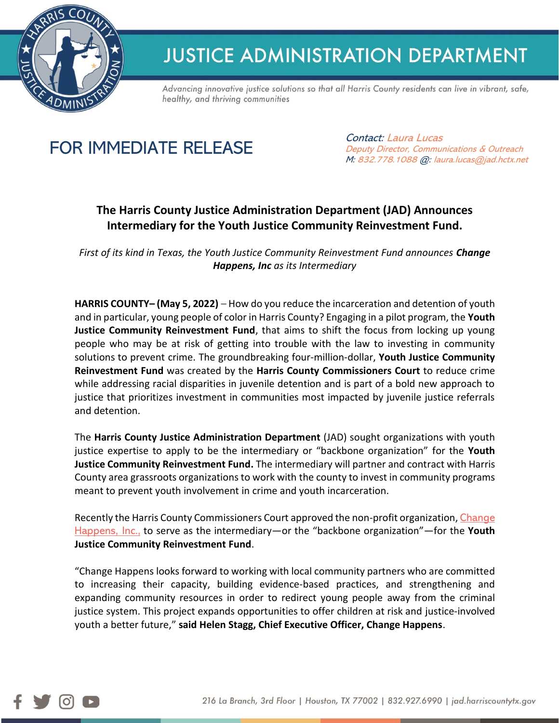

## **JUSTICE ADMINISTRATION DEPARTMENT**

Advancing innovative justice solutions so that all Harris County residents can live in vibrant, safe, healthy, and thriving communities

## FOR IMMEDIATE RELEASE

Contact: Laura Lucas Deputy Director, Communications & Outreach M: 832.778.1088 @: laura.lucas@jad.hctx.net

## **The Harris County Justice Administration Department (JAD) Announces Intermediary for the Youth Justice Community Reinvestment Fund.**

*First of its kind in Texas, the Youth Justice Community Reinvestment Fund announces Change Happens, Inc as its Intermediary*

**HARRIS COUNTY– (May 5, 2022)** – How do you reduce the incarceration and detention of youth and in particular, young people of color in Harris County? Engaging in a pilot program, the **Youth Justice Community Reinvestment Fund**, that aims to shift the focus from locking up young people who may be at risk of getting into trouble with the law to investing in community solutions to prevent crime. The groundbreaking four-million-dollar, **Youth Justice Community Reinvestment Fund** was created by the **Harris County Commissioners Court** to reduce crime while addressing racial disparities in juvenile detention and is part of a bold new approach to justice that prioritizes investment in communities most impacted by juvenile justice referrals and detention.

The **Harris County Justice Administration Department** (JAD) sought organizations with youth justice expertise to apply to be the intermediary or "backbone organization" for the **Youth Justice Community Reinvestment Fund.** The intermediary will partner and contract with Harris County area grassroots organizations to work with the county to invest in community programs meant to prevent youth involvement in crime and youth incarceration.

Recently the Harris County Commissioners Court approved the non-profit organization, [Change](https://www.changehappenstx.org/)  [Happens, Inc.,](https://www.changehappenstx.org/) to serve as the intermediary—or the "backbone organization"—for the **Youth Justice Community Reinvestment Fund**.

"Change Happens looks forward to working with local community partners who are committed to increasing their capacity, building evidence-based practices, and strengthening and expanding community resources in order to redirect young people away from the criminal justice system. This project expands opportunities to offer children at risk and justice-involved youth a better future," **said Helen Stagg, Chief Executive Officer, Change Happens**.

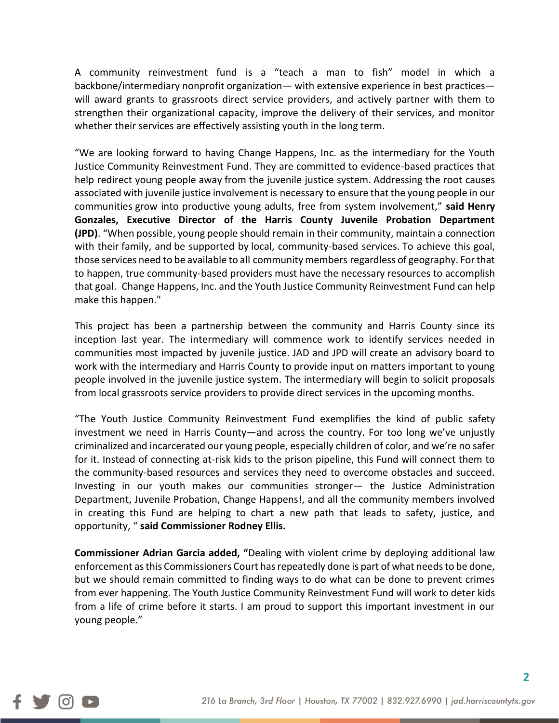A community reinvestment fund is a "teach a man to fish" model in which a backbone/intermediary nonprofit organization— with extensive experience in best practices will award grants to grassroots direct service providers, and actively partner with them to strengthen their organizational capacity, improve the delivery of their services, and monitor whether their services are effectively assisting youth in the long term.

"We are looking forward to having Change Happens, Inc. as the intermediary for the Youth Justice Community Reinvestment Fund. They are committed to evidence-based practices that help redirect young people away from the juvenile justice system. Addressing the root causes associated with juvenile justice involvement is necessary to ensure that the young people in our communities grow into productive young adults, free from system involvement," **said Henry Gonzales, Executive Director of the Harris County Juvenile Probation Department (JPD)**. "When possible, young people should remain in their community, maintain a connection with their family, and be supported by local, community-based services. To achieve this goal, those services need to be available to all community members regardless of geography. For that to happen, true community-based providers must have the necessary resources to accomplish that goal. Change Happens, Inc. and the Youth Justice Community Reinvestment Fund can help make this happen."

This project has been a partnership between the community and Harris County since its inception last year. The intermediary will commence work to identify services needed in communities most impacted by juvenile justice. JAD and JPD will create an advisory board to work with the intermediary and Harris County to provide input on matters important to young people involved in the juvenile justice system. The intermediary will begin to solicit proposals from local grassroots service providers to provide direct services in the upcoming months.

"The Youth Justice Community Reinvestment Fund exemplifies the kind of public safety investment we need in Harris County—and across the country. For too long we've unjustly criminalized and incarcerated our young people, especially children of color, and we're no safer for it. Instead of connecting at-risk kids to the prison pipeline, this Fund will connect them to the community-based resources and services they need to overcome obstacles and succeed. Investing in our youth makes our communities stronger— the Justice Administration Department, Juvenile Probation, Change Happens!, and all the community members involved in creating this Fund are helping to chart a new path that leads to safety, justice, and opportunity, " **said Commissioner Rodney Ellis.**

**Commissioner Adrian Garcia added, "**Dealing with violent crime by deploying additional law enforcement as this Commissioners Court has repeatedly done is part of what needs to be done, but we should remain committed to finding ways to do what can be done to prevent crimes from ever happening. The Youth Justice Community Reinvestment Fund will work to deter kids from a life of crime before it starts. I am proud to support this important investment in our young people."